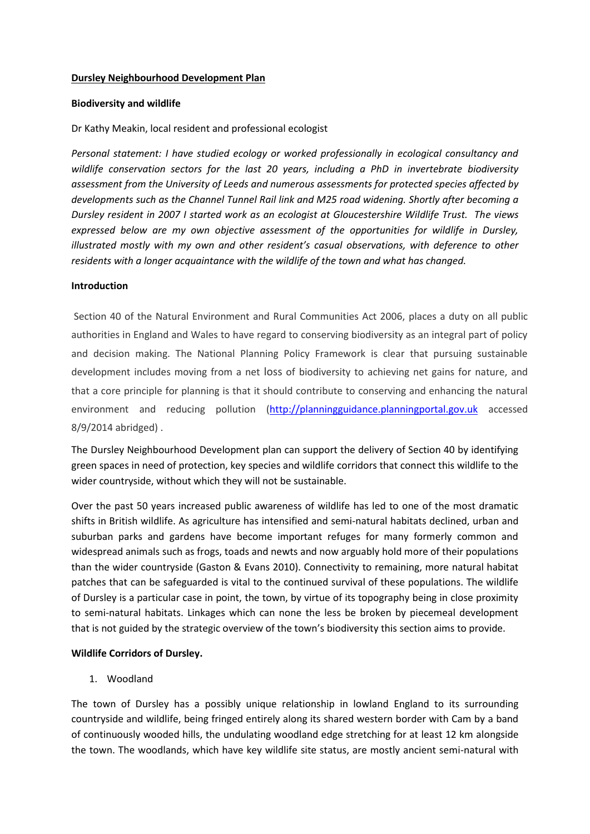## **Dursley Neighbourhood Development Plan**

## **Biodiversity and wildlife**

# Dr Kathy Meakin, local resident and professional ecologist

*Personal statement: I have studied ecology or worked professionally in ecological consultancy and wildlife conservation sectors for the last 20 years, including a PhD in invertebrate biodiversity assessment from the University of Leeds and numerous assessments for protected species affected by developments such as the Channel Tunnel Rail link and M25 road widening. Shortly after becoming a Dursley resident in 2007 I started work as an ecologist at Gloucestershire Wildlife Trust. The views expressed below are my own objective assessment of the opportunities for wildlife in Dursley, illustrated mostly with my own and other resident's casual observations, with deference to other residents with a longer acquaintance with the wildlife of the town and what has changed.*

## **Introduction**

Section 40 of the Natural Environment and Rural Communities Act 2006, places a duty on all public authorities in England and Wales to have regard to conserving biodiversity as an integral part of policy and decision making. The National Planning Policy Framework is clear that pursuing sustainable development includes moving from a net loss of biodiversity to achieving net gains for nature, and that a core principle for planning is that it should contribute to conserving and enhancing the natural environment and reducing pollution [\(http://planningguidance.planningportal.gov.uk](http://planningguidance.planningportal.gov.uk/) accessed 8/9/2014 abridged) .

The Dursley Neighbourhood Development plan can support the delivery of Section 40 by identifying green spaces in need of protection, key species and wildlife corridors that connect this wildlife to the wider countryside, without which they will not be sustainable.

Over the past 50 years increased public awareness of wildlife has led to one of the most dramatic shifts in British wildlife. As agriculture has intensified and semi-natural habitats declined, urban and suburban parks and gardens have become important refuges for many formerly common and widespread animals such as frogs, toads and newts and now arguably hold more of their populations than the wider countryside (Gaston & Evans 2010). Connectivity to remaining, more natural habitat patches that can be safeguarded is vital to the continued survival of these populations. The wildlife of Dursley is a particular case in point, the town, by virtue of its topography being in close proximity to semi-natural habitats. Linkages which can none the less be broken by piecemeal development that is not guided by the strategic overview of the town's biodiversity this section aims to provide.

## **Wildlife Corridors of Dursley.**

1. Woodland

The town of Dursley has a possibly unique relationship in lowland England to its surrounding countryside and wildlife, being fringed entirely along its shared western border with Cam by a band of continuously wooded hills, the undulating woodland edge stretching for at least 12 km alongside the town. The woodlands, which have key wildlife site status, are mostly ancient semi-natural with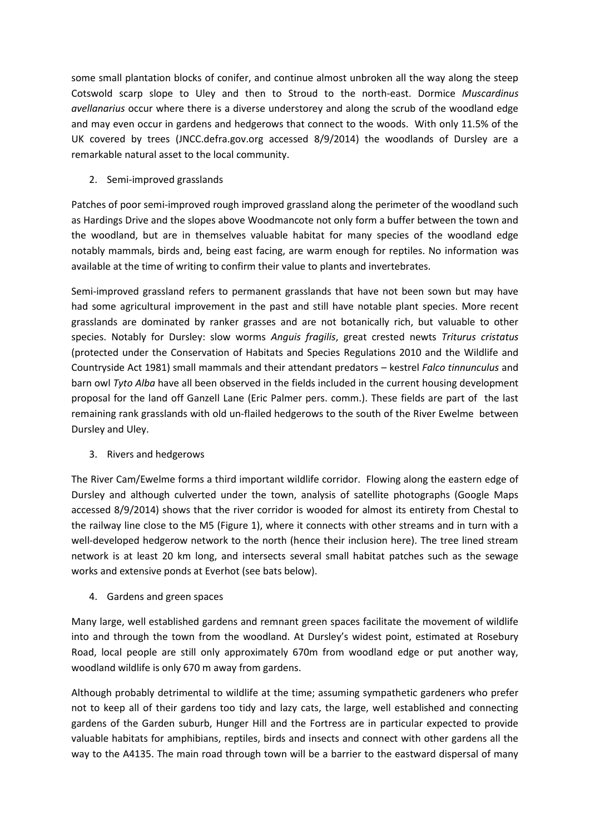some small plantation blocks of conifer, and continue almost unbroken all the way along the steep Cotswold scarp slope to Uley and then to Stroud to the north-east. Dormice *Muscardinus avellanarius* occur where there is a diverse understorey and along the scrub of the woodland edge and may even occur in gardens and hedgerows that connect to the woods. With only 11.5% of the UK covered by trees (JNCC.defra.gov.org accessed 8/9/2014) the woodlands of Dursley are a remarkable natural asset to the local community.

2. Semi-improved grasslands

Patches of poor semi-improved rough improved grassland along the perimeter of the woodland such as Hardings Drive and the slopes above Woodmancote not only form a buffer between the town and the woodland, but are in themselves valuable habitat for many species of the woodland edge notably mammals, birds and, being east facing, are warm enough for reptiles. No information was available at the time of writing to confirm their value to plants and invertebrates.

Semi-improved grassland refers to permanent grasslands that have not been sown but may have had some agricultural improvement in the past and still have notable plant species. More recent grasslands are dominated by ranker grasses and are not botanically rich, but valuable to other species. Notably for Dursley: slow worms *Anguis fragilis*, great crested newts *Triturus cristatus* (protected under the Conservation of Habitats and Species Regulations 2010 and the Wildlife and Countryside Act 1981) small mammals and their attendant predators – kestrel *Falco tinnunculus* and barn owl *Tyto Alba* have all been observed in the fields included in the current housing development proposal for the land off Ganzell Lane (Eric Palmer pers. comm.). These fields are part of the last remaining rank grasslands with old un-flailed hedgerows to the south of the River Ewelme between Dursley and Uley.

3. Rivers and hedgerows

The River Cam/Ewelme forms a third important wildlife corridor. Flowing along the eastern edge of Dursley and although culverted under the town, analysis of satellite photographs (Google Maps accessed 8/9/2014) shows that the river corridor is wooded for almost its entirety from Chestal to the railway line close to the M5 (Figure 1), where it connects with other streams and in turn with a well-developed hedgerow network to the north (hence their inclusion here). The tree lined stream network is at least 20 km long, and intersects several small habitat patches such as the sewage works and extensive ponds at Everhot (see bats below).

4. Gardens and green spaces

Many large, well established gardens and remnant green spaces facilitate the movement of wildlife into and through the town from the woodland. At Dursley's widest point, estimated at Rosebury Road, local people are still only approximately 670m from woodland edge or put another way, woodland wildlife is only 670 m away from gardens.

Although probably detrimental to wildlife at the time; assuming sympathetic gardeners who prefer not to keep all of their gardens too tidy and lazy cats, the large, well established and connecting gardens of the Garden suburb, Hunger Hill and the Fortress are in particular expected to provide valuable habitats for amphibians, reptiles, birds and insects and connect with other gardens all the way to the A4135. The main road through town will be a barrier to the eastward dispersal of many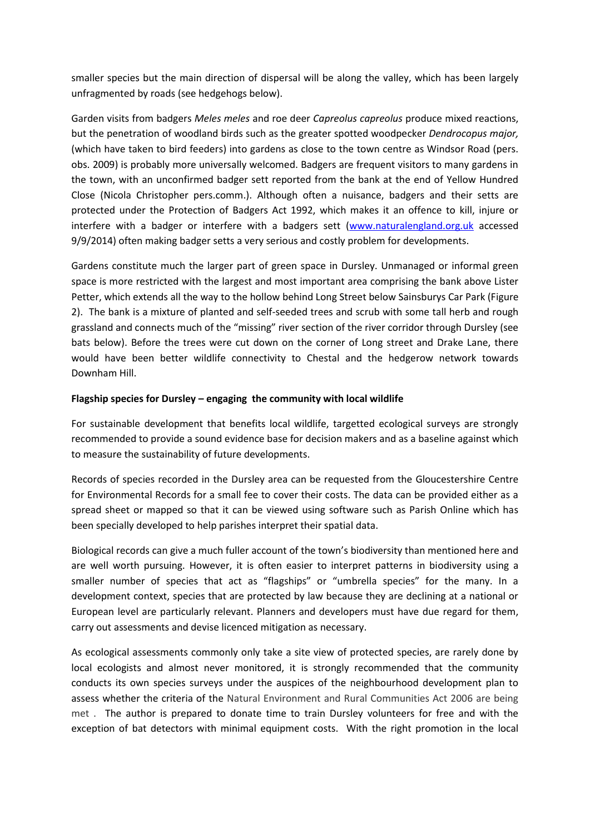smaller species but the main direction of dispersal will be along the valley, which has been largely unfragmented by roads (see hedgehogs below).

Garden visits from badgers *Meles meles* and roe deer *Capreolus capreolus* produce mixed reactions, but the penetration of woodland birds such as the greater spotted woodpecker *Dendrocopus major,*  (which have taken to bird feeders) into gardens as close to the town centre as Windsor Road (pers. obs. 2009) is probably more universally welcomed. Badgers are frequent visitors to many gardens in the town, with an unconfirmed badger sett reported from the bank at the end of Yellow Hundred Close (Nicola Christopher pers.comm.). Although often a nuisance, badgers and their setts are protected under the Protection of Badgers Act 1992, which makes it an offence to kill, injure or interfere with a badger or interfere with a badgers sett [\(www.naturalengland.org.uk](http://www.naturalengland.org.uk/) accessed 9/9/2014) often making badger setts a very serious and costly problem for developments.

Gardens constitute much the larger part of green space in Dursley. Unmanaged or informal green space is more restricted with the largest and most important area comprising the bank above Lister Petter, which extends all the way to the hollow behind Long Street below Sainsburys Car Park (Figure 2). The bank is a mixture of planted and self-seeded trees and scrub with some tall herb and rough grassland and connects much of the "missing" river section of the river corridor through Dursley (see bats below). Before the trees were cut down on the corner of Long street and Drake Lane, there would have been better wildlife connectivity to Chestal and the hedgerow network towards Downham Hill.

## **Flagship species for Dursley – engaging the community with local wildlife**

For sustainable development that benefits local wildlife, targetted ecological surveys are strongly recommended to provide a sound evidence base for decision makers and as a baseline against which to measure the sustainability of future developments.

Records of species recorded in the Dursley area can be requested from the Gloucestershire Centre for Environmental Records for a small fee to cover their costs. The data can be provided either as a spread sheet or mapped so that it can be viewed using software such as Parish Online which has been specially developed to help parishes interpret their spatial data.

Biological records can give a much fuller account of the town's biodiversity than mentioned here and are well worth pursuing. However, it is often easier to interpret patterns in biodiversity using a smaller number of species that act as "flagships" or "umbrella species" for the many. In a development context, species that are protected by law because they are declining at a national or European level are particularly relevant. Planners and developers must have due regard for them, carry out assessments and devise licenced mitigation as necessary.

As ecological assessments commonly only take a site view of protected species, are rarely done by local ecologists and almost never monitored, it is strongly recommended that the community conducts its own species surveys under the auspices of the neighbourhood development plan to assess whether the criteria of the Natural Environment and Rural Communities Act 2006 are being met . The author is prepared to donate time to train Dursley volunteers for free and with the exception of bat detectors with minimal equipment costs. With the right promotion in the local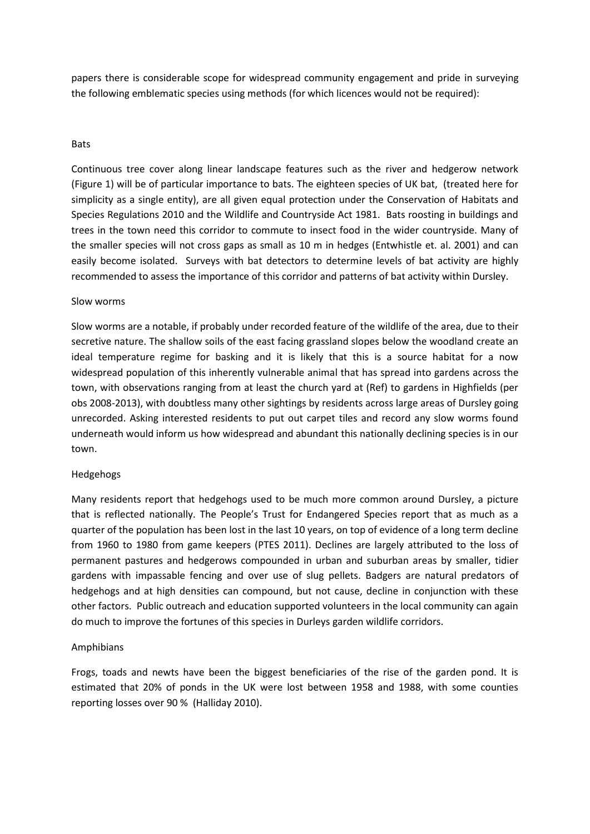papers there is considerable scope for widespread community engagement and pride in surveying the following emblematic species using methods (for which licences would not be required):

### Bats

Continuous tree cover along linear landscape features such as the river and hedgerow network (Figure 1) will be of particular importance to bats. The eighteen species of UK bat, (treated here for simplicity as a single entity), are all given equal protection under the Conservation of Habitats and Species Regulations 2010 and the Wildlife and Countryside Act 1981. Bats roosting in buildings and trees in the town need this corridor to commute to insect food in the wider countryside. Many of the smaller species will not cross gaps as small as 10 m in hedges (Entwhistle et. al. 2001) and can easily become isolated. Surveys with bat detectors to determine levels of bat activity are highly recommended to assess the importance of this corridor and patterns of bat activity within Dursley.

#### Slow worms

Slow worms are a notable, if probably under recorded feature of the wildlife of the area, due to their secretive nature. The shallow soils of the east facing grassland slopes below the woodland create an ideal temperature regime for basking and it is likely that this is a source habitat for a now widespread population of this inherently vulnerable animal that has spread into gardens across the town, with observations ranging from at least the church yard at (Ref) to gardens in Highfields (per obs 2008-2013), with doubtless many other sightings by residents across large areas of Dursley going unrecorded. Asking interested residents to put out carpet tiles and record any slow worms found underneath would inform us how widespread and abundant this nationally declining species is in our town.

## Hedgehogs

Many residents report that hedgehogs used to be much more common around Dursley, a picture that is reflected nationally. The People's Trust for Endangered Species report that as much as a quarter of the population has been lost in the last 10 years, on top of evidence of a long term decline from 1960 to 1980 from game keepers (PTES 2011). Declines are largely attributed to the loss of permanent pastures and hedgerows compounded in urban and suburban areas by smaller, tidier gardens with impassable fencing and over use of slug pellets. Badgers are natural predators of hedgehogs and at high densities can compound, but not cause, decline in conjunction with these other factors. Public outreach and education supported volunteers in the local community can again do much to improve the fortunes of this species in Durleys garden wildlife corridors.

## Amphibians

Frogs, toads and newts have been the biggest beneficiaries of the rise of the garden pond. It is estimated that 20% of ponds in the UK were lost between 1958 and 1988, with some counties reporting losses over 90 % (Halliday 2010).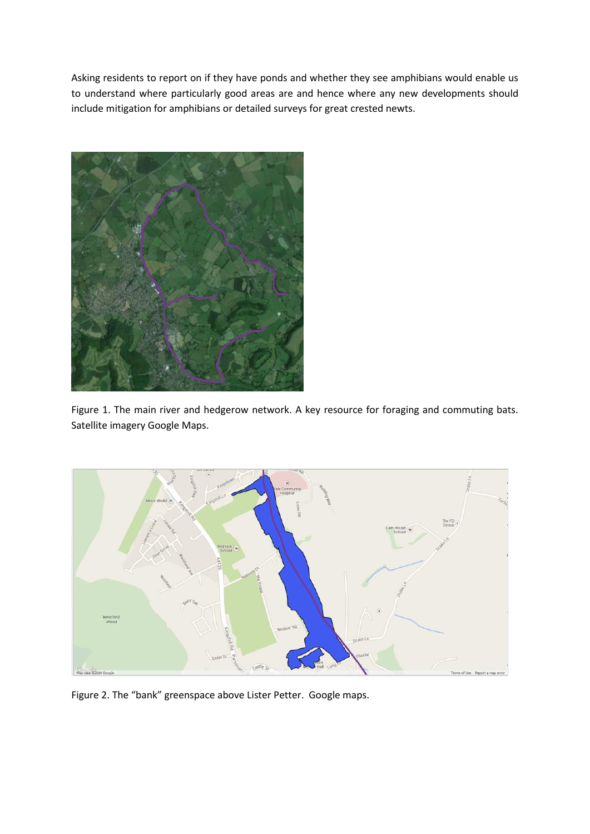Asking residents to report on if they have ponds and whether they see amphibians would enable us to understand where particularly good areas are and hence where any new developments should include mitigation for amphibians or detailed surveys for great crested newts.



Figure 1. The main river and hedgerow network. A key resource for foraging and commuting bats. Satellite imagery Google Maps.



Figure 2. The "bank" greenspace above Lister Petter. Google maps.